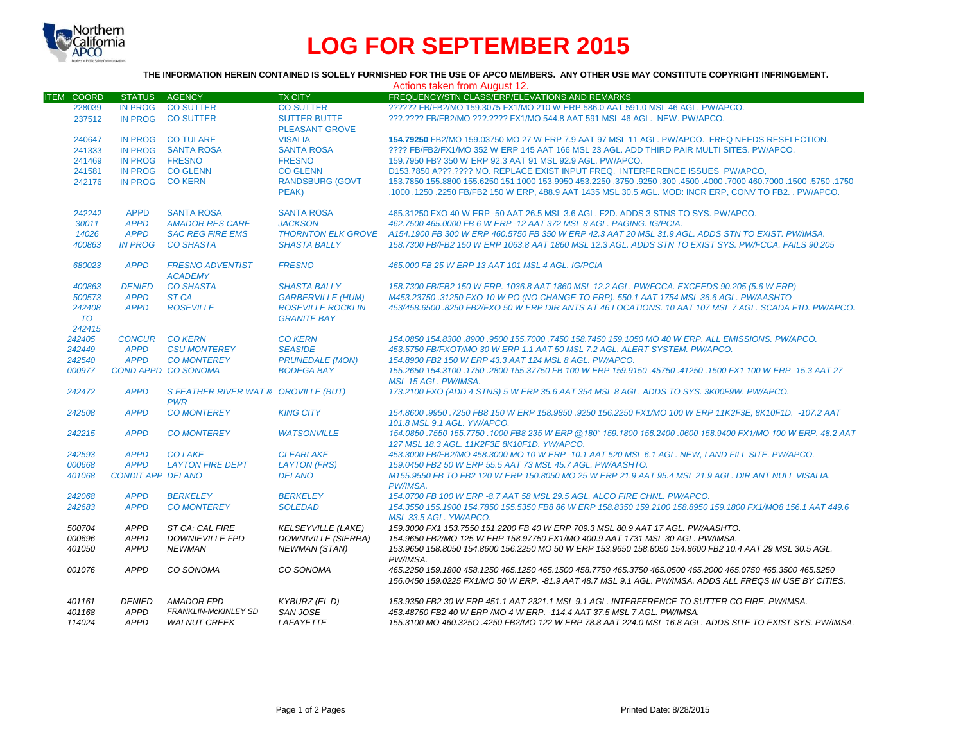

# **LOG FOR SEPTEMBER 2015**

### **THE INFORMATION HEREIN CONTAINED IS SOLELY FURNISHED FOR THE USE OF APCO MEMBERS. ANY OTHER USE MAY CONSTITUTE COPYRIGHT INFRINGEMENT.**

|                   |                          |                                           |                            | Actions taken from August 12.                                                                                                                                                                                           |
|-------------------|--------------------------|-------------------------------------------|----------------------------|-------------------------------------------------------------------------------------------------------------------------------------------------------------------------------------------------------------------------|
| <b>ITEM COORD</b> | STATUS AGENCY            |                                           | <b>TX CITY</b>             | FREQUENCY/STN CLASS/ERP/ELEVATIONS AND REMARKS                                                                                                                                                                          |
| 228039            | <b>IN PROG</b>           | <b>CO SUTTER</b>                          | <b>CO SUTTER</b>           | ?????? FB/FB2/MO 159.3075 FX1/MO 210 W ERP 586.0 AAT 591.0 MSL 46 AGL, PW/APCO.                                                                                                                                         |
| 237512            | <b>IN PROG</b>           | <b>CO SUTTER</b>                          | <b>SUTTER BUTTE</b>        | ???.???? FB/FB2/MO ???.???? FX1/MO 544.8 AAT 591 MSL 46 AGL. NEW. PW/APCO.                                                                                                                                              |
|                   |                          |                                           | <b>PLEASANT GROVE</b>      |                                                                                                                                                                                                                         |
| 240647            |                          | IN PROG CO TULARE                         | <b>VISALIA</b>             | 154.79250 FB2/MO 159.03750 MO 27 W ERP 7.9 AAT 97 MSL 11 AGL, PW/APCO. FREQ NEEDS RESELECTION.                                                                                                                          |
|                   |                          | IN PROG SANTA ROSA                        | <b>SANTA ROSA</b>          | ???? FB/FB2/FX1/MO 352 W ERP 145 AAT 166 MSL 23 AGL. ADD THIRD PAIR MULTI SITES, PW/APCO,                                                                                                                               |
| 241333            |                          |                                           |                            |                                                                                                                                                                                                                         |
| 241469            | IN PROG FRESNO           |                                           | <b>FRESNO</b>              | 159.7950 FB? 350 W ERP 92.3 AAT 91 MSL 92.9 AGL. PW/APCO.                                                                                                                                                               |
| 241581            |                          | IN PROG CO GLENN                          | <b>CO GLENN</b>            | D153.7850 A???.???? MO. REPLACE EXIST INPUT FREQ. INTERFERENCE ISSUES PW/APCO.                                                                                                                                          |
| 242176            | IN PROG CO KERN          |                                           | <b>RANDSBURG (GOVT)</b>    | 1750, 1750, 1600, 1700 160,7000 7000 460,7000 450,7850 3750 3750 453.2250 1600,2250 1600,7000 155,8800 155,6250                                                                                                         |
|                   |                          |                                           | PEAK)                      | .1000 .1250 .2250 FB/FB2 150 W ERP, 488.9 AAT 1435 MSL 30.5 AGL. MOD: INCR ERP, CONV TO FB2. . PW/APCO.                                                                                                                 |
| 242242            | <b>APPD</b>              | <b>SANTA ROSA</b>                         | <b>SANTA ROSA</b>          | 465.31250 FXO 40 W ERP -50 AAT 26.5 MSL 3.6 AGL. F2D. ADDS 3 STNS TO SYS. PW/APCO.                                                                                                                                      |
| 30011             | <b>APPD</b>              | <b>AMADOR RES CARE</b>                    | <b>JACKSON</b>             | 462.7500 465.0000 FB 6 W ERP -12 AAT 372 MSL 8 AGL, PAGING, IG/PCIA.                                                                                                                                                    |
| 14026             | <b>APPD</b>              | <b>SAC REG FIRE EMS</b>                   |                            | THORNTON ELK GROVE A154.1900 FB 300 W ERP 460.5750 FB 350 W ERP 42.3 AAT 20 MSL 31.9 AGL. ADDS STN TO EXIST. PW/IMSA.                                                                                                   |
| 400863            | <b>IN PROG</b>           | <b>CO SHASTA</b>                          | <b>SHASTA BALLY</b>        | 158.7300 FB/FB2 150 W ERP 1063.8 AAT 1860 MSL 12.3 AGL. ADDS STN TO EXIST SYS. PW/FCCA. FAILS 90.205                                                                                                                    |
| 680023            | <b>APPD</b>              | <b>FRESNO ADVENTIST</b><br><b>ACADEMY</b> | <b>FRESNO</b>              | 465,000 FB 25 W ERP 13 AAT 101 MSL 4 AGL, IG/PCIA                                                                                                                                                                       |
| 400863            | <b>DENIED</b>            | <b>CO SHASTA</b>                          | <b>SHASTA BALLY</b>        | 158.7300 FB/FB2 150 W ERP. 1036.8 AAT 1860 MSL 12.2 AGL. PW/FCCA. EXCEEDS 90.205 (5.6 W ERP)                                                                                                                            |
| 500573            | <b>APPD</b>              | ST <sub>CA</sub>                          | <b>GARBERVILLE (HUM)</b>   | M453.23750 .31250 FXO 10 W PO (NO CHANGE TO ERP). 550.1 AAT 1754 MSL 36.6 AGL. PW/AASHTO                                                                                                                                |
| 242408            | <b>APPD</b>              | <b>ROSEVILLE</b>                          | <b>ROSEVILLE ROCKLIN</b>   | 453/458.6500.8250 FB2/FXO 50 W ERP DIR ANTS AT 46 LOCATIONS. 10 AAT 107 MSL 7 AGL. SCADA F1D, PW/APCO,                                                                                                                  |
| <b>TO</b>         |                          |                                           | <b>GRANITE BAY</b>         |                                                                                                                                                                                                                         |
|                   |                          |                                           |                            |                                                                                                                                                                                                                         |
| 242415            |                          | <b>CO KERN</b>                            |                            |                                                                                                                                                                                                                         |
| 242405            | <b>CONCUR</b>            |                                           | <b>CO KERN</b>             | 154.0850 154.8300 .8900 .9500 155.7000 .7450 158.7450 159.1050 MO 40 W ERP. ALL EMISSIONS. PW/APCO.                                                                                                                     |
| 242449            | <b>APPD</b>              | <b>CSU MONTEREY</b>                       | <b>SEASIDE</b>             | 453.5750 FB/FXOT/MO 30 W ERP 1.1 AAT 50 MSL 7.2 AGL. ALERT SYSTEM. PW/APCO.                                                                                                                                             |
| 242540            | <b>APPD</b>              | <b>CO MONTEREY</b>                        | <b>PRUNEDALE (MON)</b>     | 154.8900 FB2 150 W ERP 43.3 AAT 124 MSL 8 AGL, PW/APCO.                                                                                                                                                                 |
| 000977            |                          | COND APPD CO SONOMA                       | <b>BODEGA BAY</b>          | 155.2650 154.3100 .1750 .2800 155.37750 FB 100 W ERP 159.9150 .45750 .41250 .1500 FX1 100 W ERP -15.3 AAT 27<br>MSL 15 AGL. PW/IMSA.                                                                                    |
| 242472            | <b>APPD</b>              | S FEATHER RIVER WAT & OROVILLE (BUT)      |                            | 173.2100 FXO (ADD 4 STNS) 5 W ERP 35.6 AAT 354 MSL 8 AGL. ADDS TO SYS. 3K00F9W, PW/APCO.                                                                                                                                |
|                   |                          | <b>PWR</b>                                |                            |                                                                                                                                                                                                                         |
| 242508            | <b>APPD</b>              | <b>CO MONTEREY</b>                        | <b>KING CITY</b>           | 154.8600.9950.7250 FB8 150 W ERP 158.9850.9250 156.2250 FX1/MO 100 W ERP 11K2F3E, 8K10F1D. -107.2 AAT                                                                                                                   |
|                   |                          |                                           |                            | 101.8 MSL 9.1 AGL. YW/APCO.                                                                                                                                                                                             |
| 242215            | <b>APPD</b>              | <b>CO MONTEREY</b>                        | <b>WATSONVILLE</b>         | 154.0850 .7550 155.7750 .1000 FB8 235 W ERP @180° 159.1800 156.2400 .0600 158.9400 FX1/MO 100 W ERP. 48.2 AAT                                                                                                           |
|                   |                          |                                           |                            | 127 MSL 18.3 AGL. 11K2F3E 8K10F1D. YW/APCO.                                                                                                                                                                             |
| 242593            | <b>APPD</b>              | <b>CO LAKE</b>                            | <b>CLEARLAKE</b>           | 453.3000 FB/FB2/MO 458.3000 MO 10 W ERP -10.1 AAT 520 MSL 6.1 AGL. NEW, LAND FILL SITE. PW/APCO.                                                                                                                        |
| 000668            | <b>APPD</b>              | <b>LAYTON FIRE DEPT</b>                   | <b>LAYTON (FRS)</b>        | 159.0450 FB2 50 W ERP 55.5 AAT 73 MSL 45.7 AGL, PW/AASHTO.                                                                                                                                                              |
| 401068            | <b>CONDIT APP DELANO</b> |                                           | <b>DELANO</b>              | M155.9550 FB TO FB2 120 W ERP 150.8050 MO 25 W ERP 21.9 AAT 95.4 MSL 21.9 AGL, DIR ANT NULL VISALIA.                                                                                                                    |
|                   |                          |                                           |                            | <b>PW/IMSA.</b>                                                                                                                                                                                                         |
| 242068            | <b>APPD</b>              | <b>BERKELEY</b>                           | <b>BERKELEY</b>            | 154,0700 FB 100 W ERP -8.7 AAT 58 MSL 29.5 AGL, ALCO FIRE CHNL, PW/APCO.                                                                                                                                                |
| 242683            | <b>APPD</b>              | <b>CO MONTEREY</b>                        | <b>SOLEDAD</b>             | 154.3550 155.1900 154.7850 155.5350 FB8 86 W ERP 158.8350 159.2100 158.8950 159.1800 FX1/MO8 156.1 AAT 449.6<br>MSL 33.5 AGL. YW/APCO.                                                                                  |
| 500704            | APPD                     | ST CA: CAL FIRE                           | <b>KELSEYVILLE (LAKE)</b>  | 159.3000 FX1 153.7550 151.2200 FB 40 W ERP 709.3 MSL 80.9 AAT 17 AGL. PW/AASHTO.                                                                                                                                        |
|                   | <b>APPD</b>              | <b>DOWNIEVILLE FPD</b>                    | <b>DOWNIVILLE (SIERRA)</b> | 154.9650 FB2/MO 125 W ERP 158.97750 FX1/MO 400.9 AAT 1731 MSL 30 AGL, PW/IMSA.                                                                                                                                          |
| 000696            |                          |                                           |                            |                                                                                                                                                                                                                         |
| 401050            | <b>APPD</b>              | <b>NEWMAN</b>                             | <b>NEWMAN (STAN)</b>       | 153.9650 158.8050 154.8600 156.2250 MO 50 W ERP 153.9650 158.8050 154.8600 FB2 10.4 AAT 29 MSL 30.5 AGL.<br>PW/IMSA.                                                                                                    |
| 001076            | APPD                     | CO SONOMA                                 | CO SONOMA                  | 465.2250 159.1800 458.1250 465.1250 465.1500 458.7750 465.3750 465.0500 465.2000 465.0750 465.3500 465.5250<br>156.0450 159.0225 FX1/MO 50 W ERP. -81.9 AAT 48.7 MSL 9.1 AGL. PW/IMSA. ADDS ALL FREQS IN USE BY CITIES. |
| 401161            | <b>DENIED</b>            | AMADOR FPD                                | KYBURZ (EL D)              | 153.9350 FB2 30 W ERP 451.1 AAT 2321.1 MSL 9.1 AGL. INTERFERENCE TO SUTTER CO FIRE. PW/IMSA.                                                                                                                            |
| 401168            | APPD                     | <b>FRANKLIN-McKINLEY SD</b>               | SAN JOSE                   | 453.48750 FB2 40 W ERP / MO 4 W ERP. -114.4 AAT 37.5 MSL 7 AGL. PW/IMSA.                                                                                                                                                |
| 114024            | <b>APPD</b>              | <b>WALNUT CREEK</b>                       | LAFAYETTE                  | 155.3100 MO 460.3250 .4250 FB2/MO 122 W ERP 78.8 AAT 224.0 MSL 16.8 AGL. ADDS SITE TO EXIST SYS. PW/IMSA.                                                                                                               |
|                   |                          |                                           |                            |                                                                                                                                                                                                                         |